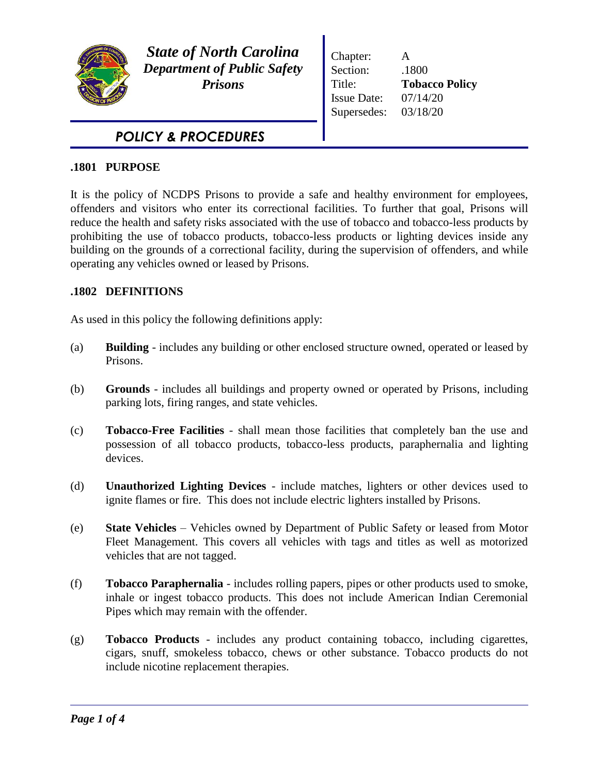

*State of North Carolina Department of Public Safety Prisons*

Chapter: A Section: .1800 Title: **Tobacco Policy** Issue Date: 07/14/20 Supersedes: 03/18/20

# *POLICY & PROCEDURES*

# **.1801 PURPOSE**

It is the policy of NCDPS Prisons to provide a safe and healthy environment for employees, offenders and visitors who enter its correctional facilities. To further that goal, Prisons will reduce the health and safety risks associated with the use of tobacco and tobacco-less products by prohibiting the use of tobacco products, tobacco-less products or lighting devices inside any building on the grounds of a correctional facility, during the supervision of offenders, and while operating any vehicles owned or leased by Prisons.

# **.1802 DEFINITIONS**

As used in this policy the following definitions apply:

- (a) **Building**  includes any building or other enclosed structure owned, operated or leased by Prisons.
- (b) **Grounds**  includes all buildings and property owned or operated by Prisons, including parking lots, firing ranges, and state vehicles.
- (c) **Tobacco-Free Facilities** shall mean those facilities that completely ban the use and possession of all tobacco products, tobacco-less products, paraphernalia and lighting devices.
- (d) **Unauthorized Lighting Devices** include matches, lighters or other devices used to ignite flames or fire. This does not include electric lighters installed by Prisons.
- (e) **State Vehicles**  Vehicles owned by Department of Public Safety or leased from Motor Fleet Management. This covers all vehicles with tags and titles as well as motorized vehicles that are not tagged.
- (f) **Tobacco Paraphernalia** includes rolling papers, pipes or other products used to smoke, inhale or ingest tobacco products. This does not include American Indian Ceremonial Pipes which may remain with the offender.
- (g) **Tobacco Products** includes any product containing tobacco, including cigarettes, cigars, snuff, smokeless tobacco, chews or other substance. Tobacco products do not include nicotine replacement therapies.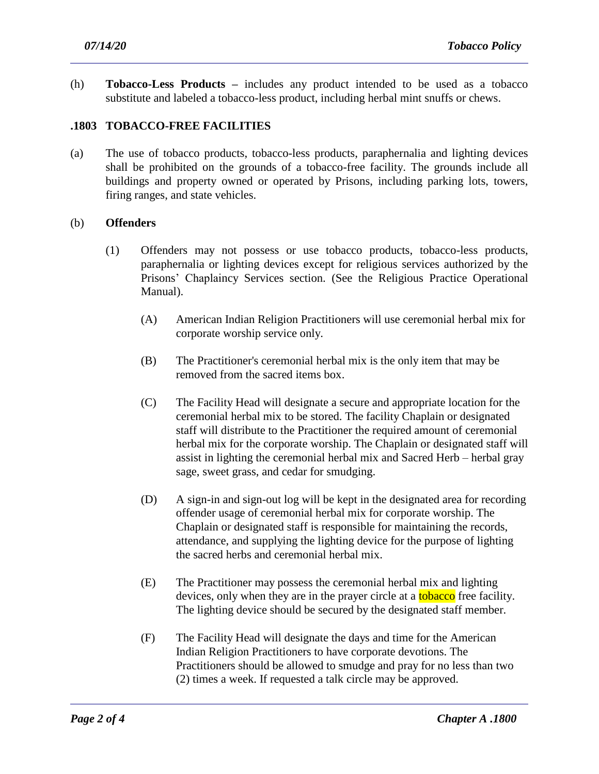(h) **Tobacco-Less Products –** includes any product intended to be used as a tobacco substitute and labeled a tobacco-less product, including herbal mint snuffs or chews.

## **.1803 TOBACCO-FREE FACILITIES**

(a) The use of tobacco products, tobacco-less products, paraphernalia and lighting devices shall be prohibited on the grounds of a tobacco-free facility. The grounds include all buildings and property owned or operated by Prisons, including parking lots, towers, firing ranges, and state vehicles.

#### (b) **Offenders**

- (1) Offenders may not possess or use tobacco products, tobacco-less products, paraphernalia or lighting devices except for religious services authorized by the Prisons' Chaplaincy Services section. (See the Religious Practice Operational Manual).
	- (A) American Indian Religion Practitioners will use ceremonial herbal mix for corporate worship service only.
	- (B) The Practitioner's ceremonial herbal mix is the only item that may be removed from the sacred items box.
	- (C) The Facility Head will designate a secure and appropriate location for the ceremonial herbal mix to be stored. The facility Chaplain or designated staff will distribute to the Practitioner the required amount of ceremonial herbal mix for the corporate worship. The Chaplain or designated staff will assist in lighting the ceremonial herbal mix and Sacred Herb – herbal gray sage, sweet grass, and cedar for smudging.
	- (D) A sign-in and sign-out log will be kept in the designated area for recording offender usage of ceremonial herbal mix for corporate worship. The Chaplain or designated staff is responsible for maintaining the records, attendance, and supplying the lighting device for the purpose of lighting the sacred herbs and ceremonial herbal mix.
	- (E) The Practitioner may possess the ceremonial herbal mix and lighting devices, only when they are in the prayer circle at a **tobacco** free facility. The lighting device should be secured by the designated staff member.
	- (F) The Facility Head will designate the days and time for the American Indian Religion Practitioners to have corporate devotions. The Practitioners should be allowed to smudge and pray for no less than two (2) times a week. If requested a talk circle may be approved.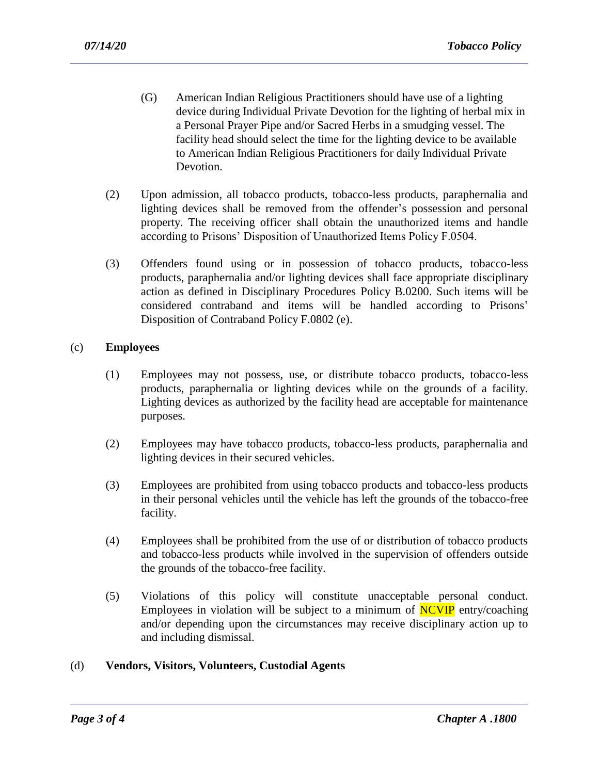- (G) American Indian Religious Practitioners should have use of a lighting device during Individual Private Devotion for the lighting of herbal mix in a Personal Prayer Pipe and/or Sacred Herbs in a smudging vessel. The facility head should select the time for the lighting device to be available to American Indian Religious Practitioners for daily Individual Private Devotion.
- (2) Upon admission, all tobacco products, tobacco-less products, paraphernalia and lighting devices shall be removed from the offender's possession and personal property. The receiving officer shall obtain the unauthorized items and handle according to Prisons' Disposition of Unauthorized Items Policy F.0504.
- (3) Offenders found using or in possession of tobacco products, tobacco-less products, paraphernalia and/or lighting devices shall face appropriate disciplinary action as defined in Disciplinary Procedures Policy B.0200. Such items will be considered contraband and items will be handled according to Prisons' Disposition of Contraband Policy F.0802 (e).

### (c) **Employees**

- (1) Employees may not possess, use, or distribute tobacco products, tobacco-less products, paraphernalia or lighting devices while on the grounds of a facility. Lighting devices as authorized by the facility head are acceptable for maintenance purposes.
- (2) Employees may have tobacco products, tobacco-less products, paraphernalia and lighting devices in their secured vehicles.
- (3) Employees are prohibited from using tobacco products and tobacco-less products in their personal vehicles until the vehicle has left the grounds of the tobacco-free facility.
- (4) Employees shall be prohibited from the use of or distribution of tobacco products and tobacco-less products while involved in the supervision of offenders outside the grounds of the tobacco-free facility.
- (5) Violations of this policy will constitute unacceptable personal conduct. Employees in violation will be subject to a minimum of  $\overline{NCVP}$  entry/coaching and/or depending upon the circumstances may receive disciplinary action up to and including dismissal.

#### (d) **Vendors, Visitors, Volunteers, Custodial Agents**